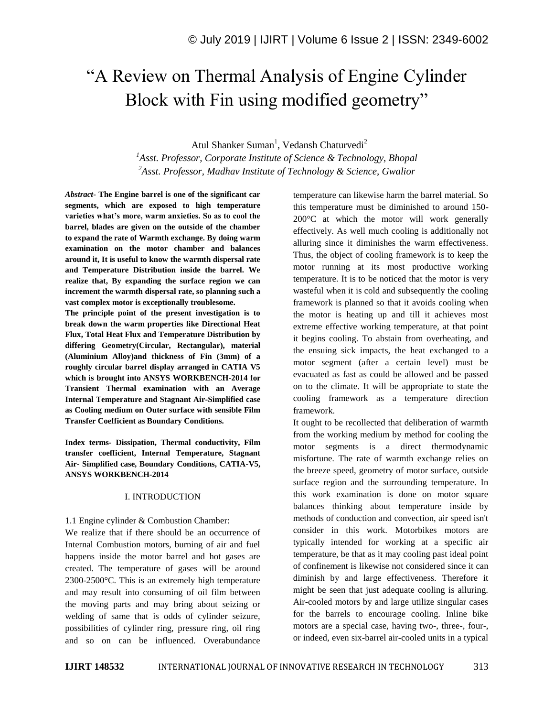# "A Review on Thermal Analysis of Engine Cylinder Block with Fin using modified geometry"

Atul Shanker Suman<sup>1</sup>, Vedansh Chaturvedi<sup>2</sup>

*<sup>1</sup>Asst. Professor, Corporate Institute of Science & Technology, Bhopal <sup>2</sup>Asst. Professor, Madhav Institute of Technology & Science, Gwalior*

*Abstract*- **The Engine barrel is one of the significant car segments, which are exposed to high temperature varieties what's more, warm anxieties. So as to cool the barrel, blades are given on the outside of the chamber to expand the rate of Warmth exchange. By doing warm examination on the motor chamber and balances around it, It is useful to know the warmth dispersal rate and Temperature Distribution inside the barrel. We realize that, By expanding the surface region we can increment the warmth dispersal rate, so planning such a vast complex motor is exceptionally troublesome.**

**The principle point of the present investigation is to break down the warm properties like Directional Heat Flux, Total Heat Flux and Temperature Distribution by differing Geometry(Circular, Rectangular), material (Aluminium Alloy)and thickness of Fin (3mm) of a roughly circular barrel display arranged in CATIA V5 which is brought into ANSYS WORKBENCH-2014 for Transient Thermal examination with an Average Internal Temperature and Stagnant Air-Simplified case as Cooling medium on Outer surface with sensible Film Transfer Coefficient as Boundary Conditions.**

**Index terms- Dissipation, Thermal conductivity, Film transfer coefficient, Internal Temperature, Stagnant Air- Simplified case, Boundary Conditions, CATIA-V5, ANSYS WORKBENCH-2014**

### I. INTRODUCTION

1.1 Engine cylinder & Combustion Chamber:

We realize that if there should be an occurrence of Internal Combustion motors, burning of air and fuel happens inside the motor barrel and hot gases are created. The temperature of gases will be around 2300-2500°C. This is an extremely high temperature and may result into consuming of oil film between the moving parts and may bring about seizing or welding of same that is odds of cylinder seizure, possibilities of cylinder ring, pressure ring, oil ring and so on can be influenced. Overabundance

temperature can likewise harm the barrel material. So this temperature must be diminished to around 150- 200°C at which the motor will work generally effectively. As well much cooling is additionally not alluring since it diminishes the warm effectiveness. Thus, the object of cooling framework is to keep the motor running at its most productive working temperature. It is to be noticed that the motor is very wasteful when it is cold and subsequently the cooling framework is planned so that it avoids cooling when the motor is heating up and till it achieves most extreme effective working temperature, at that point it begins cooling. To abstain from overheating, and the ensuing sick impacts, the heat exchanged to a motor segment (after a certain level) must be evacuated as fast as could be allowed and be passed on to the climate. It will be appropriate to state the cooling framework as a temperature direction framework.

It ought to be recollected that deliberation of warmth from the working medium by method for cooling the motor segments is a direct thermodynamic misfortune. The rate of warmth exchange relies on the breeze speed, geometry of motor surface, outside surface region and the surrounding temperature. In this work examination is done on motor square balances thinking about temperature inside by methods of conduction and convection, air speed isn't consider in this work. Motorbikes motors are typically intended for working at a specific air temperature, be that as it may cooling past ideal point of confinement is likewise not considered since it can diminish by and large effectiveness. Therefore it might be seen that just adequate cooling is alluring. Air-cooled motors by and large utilize singular cases for the barrels to encourage cooling. Inline bike motors are a special case, having two-, three-, four-, or indeed, even six-barrel air-cooled units in a typical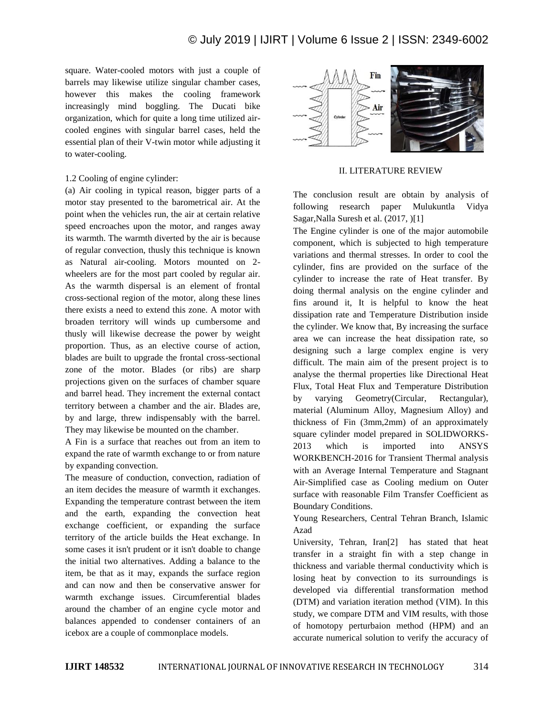square. Water-cooled motors with just a couple of barrels may likewise utilize singular chamber cases, however this makes the cooling framework increasingly mind boggling. The Ducati bike organization, which for quite a long time utilized aircooled engines with singular barrel cases, held the essential plan of their V-twin motor while adjusting it to water-cooling.

### 1.2 Cooling of engine cylinder:

(a) Air cooling in typical reason, bigger parts of a motor stay presented to the barometrical air. At the point when the vehicles run, the air at certain relative speed encroaches upon the motor, and ranges away its warmth. The warmth diverted by the air is because of regular convection, thusly this technique is known as Natural air-cooling. Motors mounted on 2 wheelers are for the most part cooled by regular air. As the warmth dispersal is an element of frontal cross-sectional region of the motor, along these lines there exists a need to extend this zone. A motor with broaden territory will winds up cumbersome and thusly will likewise decrease the power by weight proportion. Thus, as an elective course of action, blades are built to upgrade the frontal cross-sectional zone of the motor. Blades (or ribs) are sharp projections given on the surfaces of chamber square and barrel head. They increment the external contact territory between a chamber and the air. Blades are, by and large, threw indispensably with the barrel. They may likewise be mounted on the chamber.

A Fin is a surface that reaches out from an item to expand the rate of warmth exchange to or from nature by expanding convection.

The measure of conduction, convection, radiation of an item decides the measure of warmth it exchanges. Expanding the temperature contrast between the item and the earth, expanding the convection heat exchange coefficient, or expanding the surface territory of the article builds the Heat exchange. In some cases it isn't prudent or it isn't doable to change the initial two alternatives. Adding a balance to the item, be that as it may, expands the surface region and can now and then be conservative answer for warmth exchange issues. Circumferential blades around the chamber of an engine cycle motor and balances appended to condenser containers of an icebox are a couple of commonplace models.



### II. LITERATURE REVIEW

The conclusion result are obtain by analysis of following research paper Mulukuntla Vidya Sagar,Nalla Suresh et al. (2017, )[1]

The Engine cylinder is one of the major automobile component, which is subjected to high temperature variations and thermal stresses. In order to cool the cylinder, fins are provided on the surface of the cylinder to increase the rate of Heat transfer. By doing thermal analysis on the engine cylinder and fins around it, It is helpful to know the heat dissipation rate and Temperature Distribution inside the cylinder. We know that, By increasing the surface area we can increase the heat dissipation rate, so designing such a large complex engine is very difficult. The main aim of the present project is to analyse the thermal properties like Directional Heat Flux, Total Heat Flux and Temperature Distribution by varying Geometry(Circular, Rectangular), material (Aluminum Alloy, Magnesium Alloy) and thickness of Fin (3mm,2mm) of an approximately square cylinder model prepared in SOLIDWORKS-2013 which is imported into ANSYS WORKBENCH-2016 for Transient Thermal analysis with an Average Internal Temperature and Stagnant Air-Simplified case as Cooling medium on Outer surface with reasonable Film Transfer Coefficient as Boundary Conditions.

Young Researchers, Central Tehran Branch, Islamic Azad

University, Tehran, Iran[2] has stated that heat transfer in a straight fin with a step change in thickness and variable thermal conductivity which is losing heat by convection to its surroundings is developed via differential transformation method (DTM) and variation iteration method (VIM). In this study, we compare DTM and VIM results, with those of homotopy perturbaion method (HPM) and an accurate numerical solution to verify the accuracy of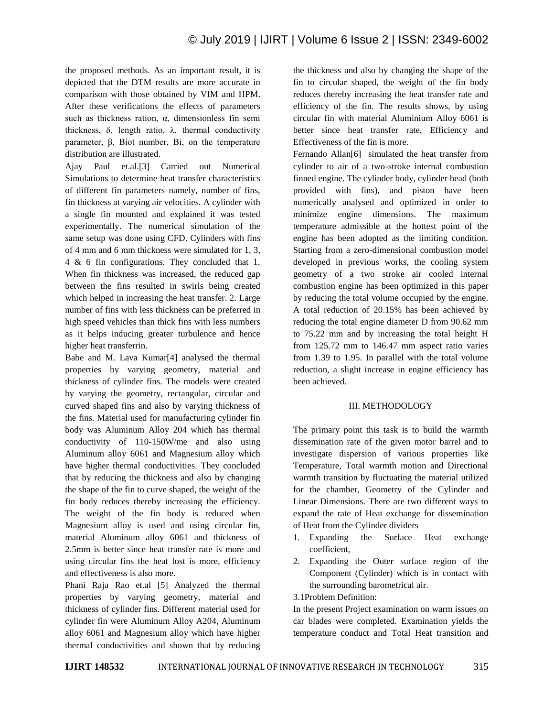the proposed methods. As an important result, it is depicted that the DTM results are more accurate in comparison with those obtained by VIM and HPM. After these verifications the effects of parameters such as thickness ration,  $\alpha$ , dimensionless fin semi thickness, δ, length ratio,  $λ$ , thermal conductivity parameter, β, Biot number, Bi, on the temperature distribution are illustrated.

Ajay Paul et.al.[3] Carried out Numerical Simulations to determine heat transfer characteristics of different fin parameters namely, number of fins, fin thickness at varying air velocities. A cylinder with a single fin mounted and explained it was tested experimentally. The numerical simulation of the same setup was done using CFD. Cylinders with fins of 4 mm and 6 mm thickness were simulated for 1, 3, 4 & 6 fin configurations. They concluded that 1. When fin thickness was increased, the reduced gap between the fins resulted in swirls being created which helped in increasing the heat transfer. 2. Large number of fins with less thickness can be preferred in high speed vehicles than thick fins with less numbers as it helps inducing greater turbulence and hence higher heat transferrin.

Babe and M. Lava Kumar[4] analysed the thermal properties by varying geometry, material and thickness of cylinder fins. The models were created by varying the geometry, rectangular, circular and curved shaped fins and also by varying thickness of the fins. Material used for manufacturing cylinder fin body was Aluminum Alloy 204 which has thermal conductivity of 110-150W/me and also using Aluminum alloy 6061 and Magnesium alloy which have higher thermal conductivities. They concluded that by reducing the thickness and also by changing the shape of the fin to curve shaped, the weight of the fin body reduces thereby increasing the efficiency. The weight of the fin body is reduced when Magnesium alloy is used and using circular fin, material Aluminum alloy 6061 and thickness of 2.5mm is better since heat transfer rate is more and using circular fins the heat lost is more, efficiency and effectiveness is also more.

Phani Raja Rao et.al [5] Analyzed the thermal properties by varying geometry, material and thickness of cylinder fins. Different material used for cylinder fin were Aluminum Alloy A204, Aluminum alloy 6061 and Magnesium alloy which have higher thermal conductivities and shown that by reducing

the thickness and also by changing the shape of the fin to circular shaped, the weight of the fin body reduces thereby increasing the heat transfer rate and efficiency of the fin. The results shows, by using circular fin with material Aluminium Alloy 6061 is better since heat transfer rate, Efficiency and Effectiveness of the fin is more.

Fernando Allan<sup>[6]</sup> simulated the heat transfer from cylinder to air of a two-stroke internal combustion finned engine. The cylinder body, cylinder head (both provided with fins), and piston have been numerically analysed and optimized in order to minimize engine dimensions. The maximum temperature admissible at the hottest point of the engine has been adopted as the limiting condition. Starting from a zero-dimensional combustion model developed in previous works, the cooling system geometry of a two stroke air cooled internal combustion engine has been optimized in this paper by reducing the total volume occupied by the engine. A total reduction of 20.15% has been achieved by reducing the total engine diameter D from 90.62 mm to 75.22 mm and by increasing the total height H from 125.72 mm to 146.47 mm aspect ratio varies from 1.39 to 1.95. In parallel with the total volume reduction, a slight increase in engine efficiency has been achieved.

## III. METHODOLOGY

The primary point this task is to build the warmth dissemination rate of the given motor barrel and to investigate dispersion of various properties like Temperature, Total warmth motion and Directional warmth transition by fluctuating the material utilized for the chamber, Geometry of the Cylinder and Linear Dimensions. There are two different ways to expand the rate of Heat exchange for dissemination of Heat from the Cylinder dividers

- 1. Expanding the Surface Heat exchange coefficient,
- 2. Expanding the Outer surface region of the Component (Cylinder) which is in contact with the surrounding barometrical air.

# 3.1Problem Definition:

In the present Project examination on warm issues on car blades were completed. Examination yields the temperature conduct and Total Heat transition and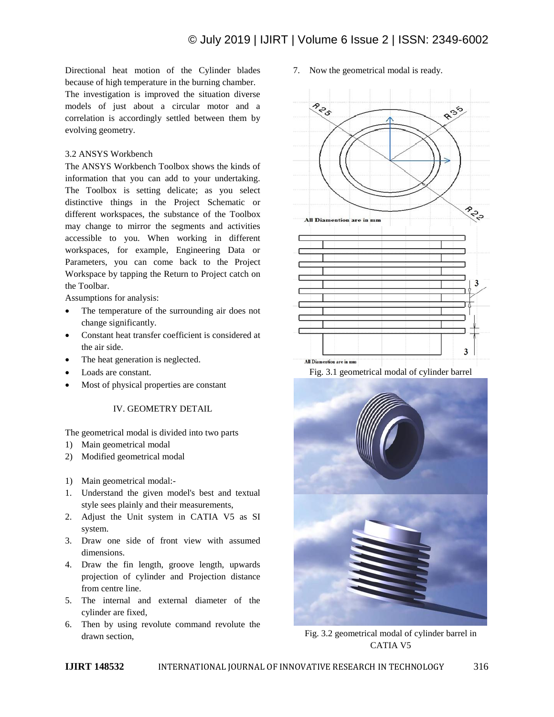Directional heat motion of the Cylinder blades because of high temperature in the burning chamber.

The investigation is improved the situation diverse models of just about a circular motor and a correlation is accordingly settled between them by evolving geometry.

# 3.2 ANSYS Workbench

The ANSYS Workbench Toolbox shows the kinds of information that you can add to your undertaking. The Toolbox is setting delicate; as you select distinctive things in the Project Schematic or different workspaces, the substance of the Toolbox may change to mirror the segments and activities accessible to you. When working in different workspaces, for example, Engineering Data or Parameters, you can come back to the Project Workspace by tapping the Return to Project catch on the Toolbar.

Assumptions for analysis:

- The temperature of the surrounding air does not change significantly.
- Constant heat transfer coefficient is considered at the air side.
- The heat generation is neglected.
- Loads are constant.
- Most of physical properties are constant

# IV. GEOMETRY DETAIL

The geometrical modal is divided into two parts

- 1) Main geometrical modal
- 2) Modified geometrical modal
- 1) Main geometrical modal:-
- 1. Understand the given model's best and textual style sees plainly and their measurements,
- 2. Adjust the Unit system in CATIA V5 as SI system.
- 3. Draw one side of front view with assumed dimensions.
- 4. Draw the fin length, groove length, upwards projection of cylinder and Projection distance from centre line.
- 5. The internal and external diameter of the cylinder are fixed,
- 6. Then by using revolute command revolute the drawn section,

7. Now the geometrical modal is ready.





Fig. 3.2 geometrical modal of cylinder barrel in CATIA V5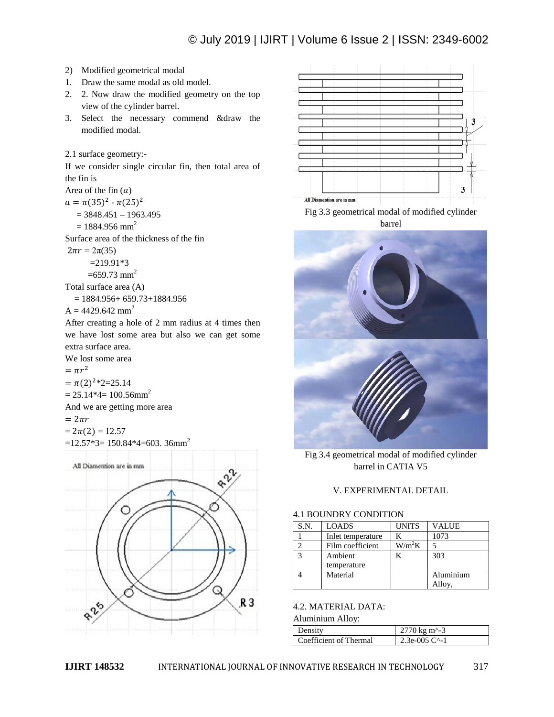# © July 2019 | IJIRT | Volume 6 Issue 2 | ISSN: 2349-6002

- 2) Modified geometrical modal
- 1. Draw the same modal as old model.
- 2. 2. Now draw the modified geometry on the top view of the cylinder barrel.
- 3. Select the necessary commend &draw the modified modal.

If we consider single circular fin, then total area of the fin is

Area of the fin  $(a)$ 

 $a = \pi (35)^2 - \pi (25)^2$ 

 $= 3848.451 - 1963.495$ 

 $= 1884.956$  mm<sup>2</sup>

Surface area of the thickness of the fin

 $2\pi r = 2\pi(35)$  $=219.91*3$ 

 $=659.73$  mm<sup>2</sup>

Total surface area (A)

 $= 1884.956 + 659.73 + 1884.956$ 

 $A = 4429.642$  mm<sup>2</sup>

After creating a hole of 2 mm radius at 4 times then we have lost some area but also we can get some extra surface area.

We lost some area

 $= \pi r^2$ 

 $=\pi(2)^{2}*2=25.14$ 

 $= 25.14*4= 100.56$ mm<sup>2</sup>

And we are getting more area

$$
=2\pi r
$$

$$
=2\pi(2)=12.57
$$

 $=12.57*3=150.84*4=603.36$ mm<sup>2</sup>





Fig 3.3 geometrical modal of modified cylinder barrel



Fig 3.4 geometrical modal of modified cylinder barrel in CATIA V5

# V. EXPERIMENTAL DETAIL

### 4.1 BOUNDRY CONDITION

| S.N. | <b>LOADS</b>      | <b>UNITS</b> | <b>VALUE</b> |
|------|-------------------|--------------|--------------|
|      | Inlet temperature |              | 1073         |
|      | Film coefficient  | $W/m^2K$     |              |
|      | Ambient           |              | 303          |
|      | temperature       |              |              |
|      | Material          |              | Aluminium    |
|      |                   |              | Alloy,       |

### 4.2. MATERIAL DATA:

Aluminium Alloy:

| Density                | 2770 kg m <sup><math>\sim</math>-3</sup> |
|------------------------|------------------------------------------|
| Coefficient of Thermal | 2.3e-005 $C^{\wedge}$ -1                 |

<sup>2.1</sup> surface geometry:-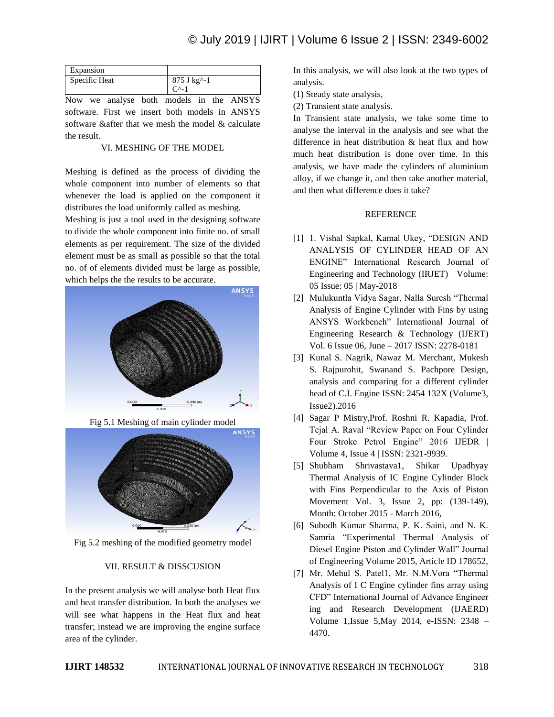| Expansion     |                                                        |
|---------------|--------------------------------------------------------|
| Specific Heat | 875 J kg <sup><math>\sim</math></sup> -1<br><b>س</b> ے |

Now we analyse both models in the ANSYS software. First we insert both models in ANSYS software &after that we mesh the model & calculate the result.

### VI. MESHING OF THE MODEL

Meshing is defined as the process of dividing the whole component into number of elements so that whenever the load is applied on the component it distributes the load uniformly called as meshing.

Meshing is just a tool used in the designing software to divide the whole component into finite no. of small elements as per requirement. The size of the divided element must be as small as possible so that the total no. of of elements divided must be large as possible, which helps the the results to be accurate.



Fig 5.1 Meshing of main cylinder model



Fig 5.2 meshing of the modified geometry model

## VII. RESULT & DISSCUSION

In the present analysis we will analyse both Heat flux and heat transfer distribution. In both the analyses we will see what happens in the Heat flux and heat transfer; instead we are improving the engine surface area of the cylinder.

In this analysis, we will also look at the two types of analysis.

- (1) Steady state analysis,
- (2) Transient state analysis.

In Transient state analysis, we take some time to analyse the interval in the analysis and see what the difference in heat distribution & heat flux and how much heat distribution is done over time. In this analysis, we have made the cylinders of aluminium alloy, if we change it, and then take another material, and then what difference does it take?

## REFERENCE

- [1] 1. Vishal Sapkal, Kamal Ukey, "DESIGN AND ANALYSIS OF CYLINDER HEAD OF AN ENGINE" International Research Journal of Engineering and Technology (IRJET) Volume: 05 Issue: 05 | May-2018
- [2] Mulukuntla Vidya Sagar, Nalla Suresh "Thermal Analysis of Engine Cylinder with Fins by using ANSYS Workbench" International Journal of Engineering Research & Technology (IJERT) Vol. 6 Issue 06, June – 2017 ISSN: 2278-0181
- [3] Kunal S. Nagrik, Nawaz M. Merchant, Mukesh S. Rajpurohit, Swanand S. Pachpore Design, analysis and comparing for a different cylinder head of C.I. Engine ISSN: 2454 132X (Volume3, Issue2).2016
- [4] Sagar P Mistry,Prof. Roshni R. Kapadia, Prof. Tejal A. Raval "Review Paper on Four Cylinder Four Stroke Petrol Engine" 2016 IJEDR | Volume 4, Issue 4 | ISSN: 2321-9939.
- [5] Shubham Shrivastava1, Shikar Upadhyay Thermal Analysis of IC Engine Cylinder Block with Fins Perpendicular to the Axis of Piston Movement Vol. 3, Issue 2, pp: (139-149), Month: October 2015 - March 2016,
- [6] Subodh Kumar Sharma, P. K. Saini, and N. K. Samria "Experimental Thermal Analysis of Diesel Engine Piston and Cylinder Wall" Journal of Engineering Volume 2015, Article ID 178652,
- [7] Mr. Mehul S. Patel1, Mr. N.M.Vora "Thermal Analysis of I C Engine cylinder fins array using CFD" International Journal of Advance Engineer ing and Research Development (IJAERD) Volume 1,Issue 5,May 2014, e-ISSN: 2348 – 4470.